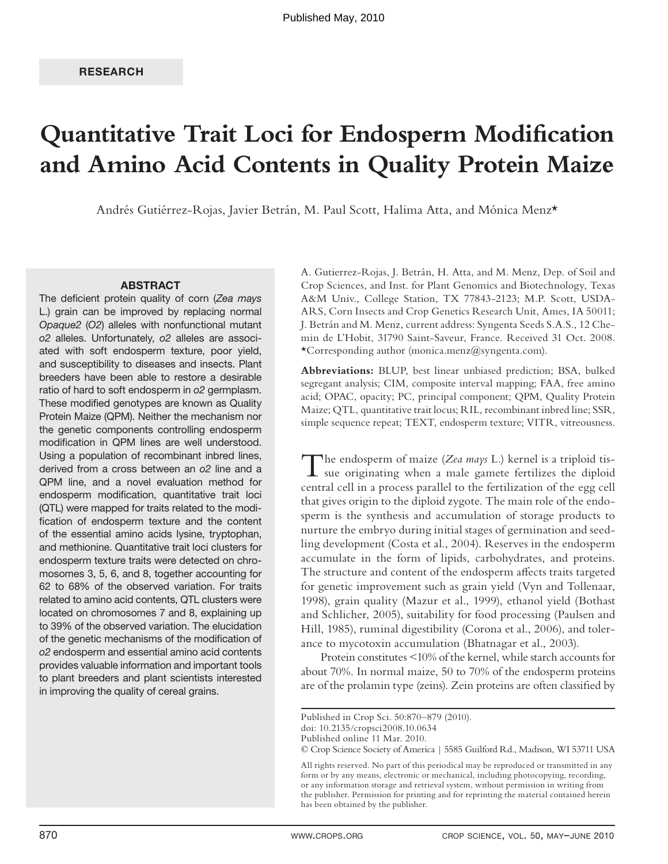# **Quantitative Trait Loci for Endosperm Modification and Amino Acid Contents in Quality Protein Maize**

Andrés Gutiérrez-Rojas, Javier Betrán, M. Paul Scott, Halima Atta, and Mónica Menz\*

#### **ABSTRACT**

The deficient protein quality of corn (Zea mays L.) grain can be improved by replacing normal Opaque2 (O2) alleles with nonfunctional mutant o2 alleles. Unfortunately, o2 alleles are associated with soft endosperm texture, poor yield, and susceptibility to diseases and insects. Plant breeders have been able to restore a desirable ratio of hard to soft endosperm in o2 germplasm. These modified genotypes are known as Quality Protein Maize (QPM). Neither the mechanism nor the genetic components controlling endosperm modification in QPM lines are well understood. Using a population of recombinant inbred lines, derived from a cross between an o2 line and a QPM line, and a novel evaluation method for endosperm modification, quantitative trait loci (QTL) were mapped for traits related to the modification of endosperm texture and the content of the essential amino acids lysine, tryptophan, and methionine. Quantitative trait loci clusters for endosperm texture traits were detected on chromosomes 3, 5, 6, and 8, together accounting for 62 to 68% of the observed variation. For traits related to amino acid contents, QTL clusters were located on chromosomes 7 and 8, explaining up to 39% of the observed variation. The elucidation of the genetic mechanisms of the modification of o2 endosperm and essential amino acid contents provides valuable information and important tools to plant breeders and plant scientists interested in improving the quality of cereal grains.

A. Gutierrez-Rojas, J. Betrán, H. Atta, and M. Menz, Dep. of Soil and Crop Sciences, and Inst. for Plant Genomics and Biotechnology, Texas A&M Univ., College Station, TX 77843-2123; M.P. Scott, USDA-ARS, Corn Insects and Crop Genetics Research Unit, Ames, IA 50011; J. Betrán and M. Menz, current address: Syngenta Seeds S.A.S., 12 Chemin de L'Hobit, 31790 Saint-Saveur, France. Received 31 Oct. 2008. \*Corresponding author (monica.menz@syngenta.com).

**Abbreviations:** BLUP, best linear unbiased prediction; BSA, bulked segregant analysis; CIM, composite interval mapping; FAA, free amino acid; OPAC, opacity; PC, principal component; QPM, Quality Protein Maize; QTL, quantitative trait locus; RIL, recombinant inbred line; SSR, simple sequence repeat; TEXT, endosperm texture; VITR, vitreousness.

The endosperm of maize (*Zea mays* L.) kernel is a triploid tis-<br>sue originating when a male gamete fertilizes the diploid central cell in a process parallel to the fertilization of the egg cell that gives origin to the diploid zygote. The main role of the endosperm is the synthesis and accumulation of storage products to nurture the embryo during initial stages of germination and seedling development (Costa et al., 2004). Reserves in the endosperm accumulate in the form of lipids, carbohydrates, and proteins. The structure and content of the endosperm affects traits targeted for genetic improvement such as grain yield (Vyn and Tollenaar, 1998), grain quality (Mazur et al., 1999), ethanol yield (Bothast and Schlicher, 2005), suitability for food processing (Paulsen and Hill, 1985), ruminal digestibility (Corona et al., 2006), and tolerance to mycotoxin accumulation (Bhatnagar et al., 2003).

Protein constitutes <10% of the kernel, while starch accounts for about 70%. In normal maize, 50 to 70% of the endosperm proteins are of the prolamin type (zeins). Zein proteins are often classified by

© Crop Science Society of America | 5585 Guilford Rd., Madison, WI 53711 USA

All rights reserved. No part of this periodical may be reproduced or transmitted in any form or by any means, electronic or mechanical, including photocopying, recording, or any information storage and retrieval system, without permission in writing from the publisher. Permission for printing and for reprinting the material contained herein has been obtained by the publisher.

Published in Crop Sci. 50:870–879 (2010).

doi: 10.2135/cropsci2008.10.0634

Published online 11 Mar. 2010.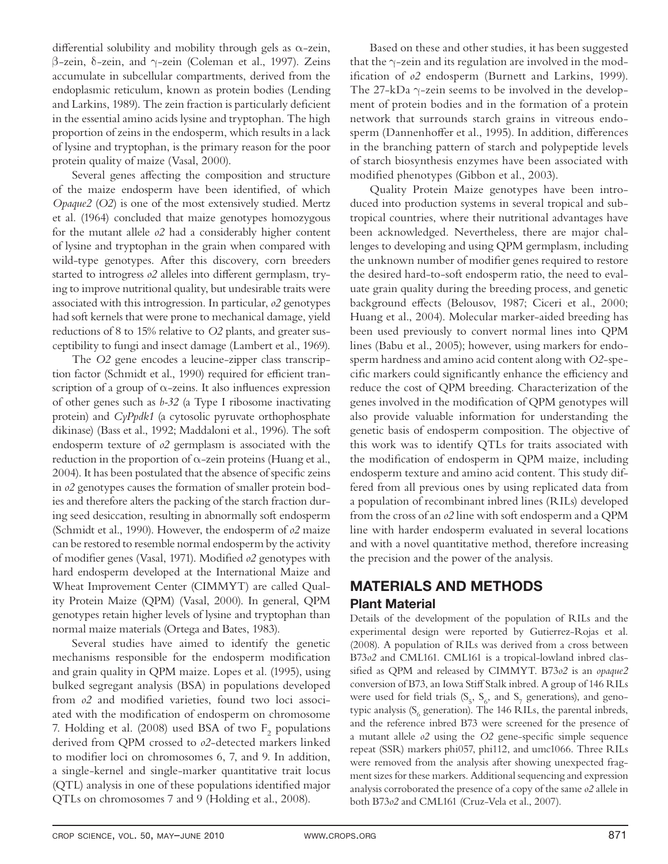differential solubility and mobility through gels as  $\alpha$ -zein, β-zein, δ-zein, and γ-zein (Coleman et al., 1997). Zeins accumulate in subcellular compartments, derived from the endoplasmic reticulum, known as protein bodies (Lending and Larkins, 1989). The zein fraction is particularly deficient in the essential amino acids lysine and tryptophan. The high proportion of zeins in the endosperm, which results in a lack of lysine and tryptophan, is the primary reason for the poor protein quality of maize (Vasal, 2000).

Several genes affecting the composition and structure of the maize endosperm have been identified, of which *Opaque2* (*O2*) is one of the most extensively studied. Mertz et al. (1964) concluded that maize genotypes homozygous for the mutant allele *o2* had a considerably higher content of lysine and tryptophan in the grain when compared with wild-type genotypes. After this discovery, corn breeders started to introgress  $o2$  alleles into different germplasm, trying to improve nutritional quality, but undesirable traits were associated with this introgression. In particular, *o2* genotypes had soft kernels that were prone to mechanical damage, yield reductions of 8 to 15% relative to *O2* plants, and greater susceptibility to fungi and insect damage (Lambert et al., 1969).

The *O2* gene encodes a leucine-zipper class transcription factor (Schmidt et al., 1990) required for efficient transcription of a group of  $\alpha$ -zeins. It also influences expression of other genes such as *b-32* (a Type I ribosome inactivating protein) and *CyPpdk1* (a cytosolic pyruvate orthophosphate dikinase) (Bass et al., 1992; Maddaloni et al., 1996). The soft endosperm texture of *o2* germplasm is associated with the reduction in the proportion of  $\alpha$ -zein proteins (Huang et al., 2004). It has been postulated that the absence of specific zeins in *o2* genotypes causes the formation of smaller protein bodies and therefore alters the packing of the starch fraction during seed desiccation, resulting in abnormally soft endosperm (Schmidt et al., 1990). However, the endosperm of *o2* maize can be restored to resemble normal endosperm by the activity of modifier genes (Vasal, 1971). Modified  $o2$  genotypes with hard endosperm developed at the International Maize and Wheat Improvement Center (CIMMYT) are called Quality Protein Maize (QPM) (Vasal, 2000). In general, QPM genotypes retain higher levels of lysine and tryptophan than normal maize materials (Ortega and Bates, 1983).

Several studies have aimed to identify the genetic mechanisms responsible for the endosperm modification and grain quality in QPM maize. Lopes et al. (1995), using bulked segregant analysis (BSA) in populations developed from  $o2$  and modified varieties, found two loci associated with the modification of endosperm on chromosome 7. Holding et al. (2008) used BSA of two  $F_2$  populations derived from QPM crossed to *o2*-detected markers linked to modifier loci on chromosomes 6, 7, and 9. In addition, a single-kernel and single-marker quantitative trait locus (QTL) analysis in one of these populations identified major QTLs on chromosomes 7 and 9 (Holding et al., 2008).

Based on these and other studies, it has been suggested that the  $\gamma$ -zein and its regulation are involved in the modification of  $o2$  endosperm (Burnett and Larkins, 1999). The  $27-\text{kDa } \gamma$ -zein seems to be involved in the development of protein bodies and in the formation of a protein network that surrounds starch grains in vitreous endosperm (Dannenhoffer et al., 1995). In addition, differences in the branching pattern of starch and polypeptide levels of starch biosynthesis enzymes have been associated with modified phenotypes (Gibbon et al., 2003).

Quality Protein Maize genotypes have been introduced into production systems in several tropical and subtropical countries, where their nutritional advantages have been acknowledged. Nevertheless, there are major challenges to developing and using QPM germplasm, including the unknown number of modifier genes required to restore the desired hard-to-soft endosperm ratio, the need to evaluate grain quality during the breeding process, and genetic background effects (Belousov, 1987; Ciceri et al., 2000; Huang et al., 2004). Molecular marker-aided breeding has been used previously to convert normal lines into QPM lines (Babu et al., 2005); however, using markers for endosperm hardness and amino acid content along with *O2*-specific markers could significantly enhance the efficiency and reduce the cost of QPM breeding. Characterization of the genes involved in the modification of QPM genotypes will also provide valuable information for understanding the genetic basis of endosperm composition. The objective of this work was to identify QTLs for traits associated with the modification of endosperm in QPM maize, including endosperm texture and amino acid content. This study differed from all previous ones by using replicated data from a population of recombinant inbred lines (RILs) developed from the cross of an *o2* line with soft endosperm and a QPM line with harder endosperm evaluated in several locations and with a novel quantitative method, therefore increasing the precision and the power of the analysis.

## **MATERIALS AND METHODS Plant Material**

Details of the development of the population of RILs and the experimental design were reported by Gutierrez-Rojas et al. (2008). A population of RILs was derived from a cross between B73*o2* and CML161. CML161 is a tropical-lowland inbred classified as QPM and released by CIMMYT. B73o2 is an *opaque2* conversion of B73, an Iowa Stiff Stalk inbred. A group of 146 RILs were used for field trials  $(S_5, S_6, \text{ and } S_7 \text{ generations})$ , and genotypic analysis ( $S_6$  generation). The 146 RILs, the parental inbreds, and the reference inbred B73 were screened for the presence of a mutant allele  $o2$  using the  $O2$  gene-specific simple sequence repeat (SSR) markers phi057, phi112, and umc1066. Three RILs were removed from the analysis after showing unexpected fragment sizes for these markers. Additional sequencing and expression analysis corroborated the presence of a copy of the same *o2* allele in both B73*o2* and CML161 (Cruz-Vela et al., 2007).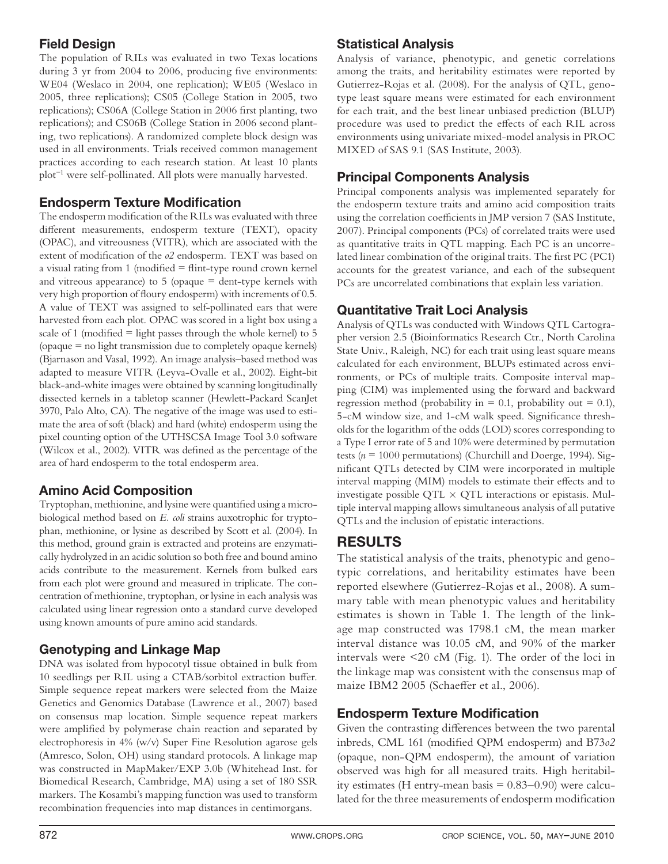## **Field Design**

The population of RILs was evaluated in two Texas locations during 3 yr from 2004 to 2006, producing five environments: WE04 (Weslaco in 2004, one replication); WE05 (Weslaco in 2005, three replications); CS05 (College Station in 2005, two replications); CS06A (College Station in 2006 first planting, two replications); and CS06B (College Station in 2006 second planting, two replications). A randomized complete block design was used in all environments. Trials received common management practices according to each research station. At least 10 plants plot−1 were self-pollinated. All plots were manually harvested.

## **Endosperm Texture Modification**

The endosperm modification of the RILs was evaluated with three different measurements, endosperm texture (TEXT), opacity (OPAC), and vitreousness (VITR), which are associated with the extent of modification of the  $o2$  endosperm. TEXT was based on a visual rating from 1 (modified  $=$  flint-type round crown kernel and vitreous appearance) to  $5$  (opaque = dent-type kernels with very high proportion of floury endosperm) with increments of 0.5. A value of TEXT was assigned to self-pollinated ears that were harvested from each plot. OPAC was scored in a light box using a scale of 1 (modified  $=$  light passes through the whole kernel) to 5 (opaque = no light transmission due to completely opaque kernels) (Bjarnason and Vasal, 1992). An image analysis–based method was adapted to measure VITR (Leyva-Ovalle et al., 2002). Eight-bit black-and-white images were obtained by scanning longitudinally dissected kernels in a tabletop scanner (Hewlett-Packard ScanJet 3970, Palo Alto, CA). The negative of the image was used to estimate the area of soft (black) and hard (white) endosperm using the pixel counting option of the UTHSCSA Image Tool 3.0 software (Wilcox et al., 2002). VITR was defined as the percentage of the area of hard endosperm to the total endosperm area.

## **Amino Acid Composition**

Tryptophan, methionine, and lysine were quantified using a microbiological method based on *E. coli* strains auxotrophic for tryptophan, methionine, or lysine as described by Scott et al. (2004). In this method, ground grain is extracted and proteins are enzymatically hydrolyzed in an acidic solution so both free and bound amino acids contribute to the measurement. Kernels from bulked ears from each plot were ground and measured in triplicate. The concentration of methionine, tryptophan, or lysine in each analysis was calculated using linear regression onto a standard curve developed using known amounts of pure amino acid standards.

## **Genotyping and Linkage Map**

DNA was isolated from hypocotyl tissue obtained in bulk from 10 seedlings per RIL using a CTAB/sorbitol extraction buffer. Simple sequence repeat markers were selected from the Maize Genetics and Genomics Database (Lawrence et al., 2007) based on consensus map location. Simple sequence repeat markers were amplified by polymerase chain reaction and separated by electrophoresis in 4% (w/v) Super Fine Resolution agarose gels (Amresco, Solon, OH) using standard protocols. A linkage map was constructed in MapMaker/EXP 3.0b (Whitehead Inst. for Biomedical Research, Cambridge, MA) using a set of 180 SSR markers. The Kosambi's mapping function was used to transform recombination frequencies into map distances in centimorgans.

## **Statistical Analysis**

Analysis of variance, phenotypic, and genetic correlations among the traits, and heritability estimates were reported by Gutierrez-Rojas et al. (2008). For the analysis of QTL, genotype least square means were estimated for each environment for each trait, and the best linear unbiased prediction (BLUP) procedure was used to predict the effects of each RIL across environments using univariate mixed-model analysis in PROC MIXED of SAS 9.1 (SAS Institute, 2003).

## **Principal Components Analysis**

Principal components analysis was implemented separately for the endosperm texture traits and amino acid composition traits using the correlation coefficients in JMP version 7 (SAS Institute, 2007). Principal components (PCs) of correlated traits were used as quantitative traits in QTL mapping. Each PC is an uncorrelated linear combination of the original traits. The first PC (PC1) accounts for the greatest variance, and each of the subsequent PCs are uncorrelated combinations that explain less variation.

## **Quantitative Trait Loci Analysis**

Analysis of QTLs was conducted with Windows QTL Cartographer version 2.5 (Bioinformatics Research Ctr., North Carolina State Univ., Raleigh, NC) for each trait using least square means calculated for each environment, BLUPs estimated across environments, or PCs of multiple traits. Composite interval mapping (CIM) was implemented using the forward and backward regression method (probability in  $= 0.1$ , probability out  $= 0.1$ ), 5-cM window size, and 1-cM walk speed. Significance thresholds for the logarithm of the odds (LOD) scores corresponding to a Type I error rate of 5 and 10% were determined by permutation tests (*n* = 1000 permutations) (Churchill and Doerge, 1994). Significant QTLs detected by CIM were incorporated in multiple interval mapping (MIM) models to estimate their effects and to investigate possible QTL  $\times$  QTL interactions or epistasis. Multiple interval mapping allows simultaneous analysis of all putative QTLs and the inclusion of epistatic interactions.

# **RESULTS**

The statistical analysis of the traits, phenotypic and genotypic correlations, and heritability estimates have been reported elsewhere (Gutierrez-Rojas et al., 2008). A summary table with mean phenotypic values and heritability estimates is shown in Table 1. The length of the linkage map constructed was 1798.1 cM, the mean marker interval distance was 10.05 cM, and 90% of the marker intervals were <20 cM (Fig. 1). The order of the loci in the linkage map was consistent with the consensus map of maize IBM2 2005 (Schaeffer et al., 2006).

## **Endosperm Texture Modification**

Given the contrasting differences between the two parental inbreds, CML 161 (modified QPM endosperm) and B73*o2* (opaque, non-QPM endosperm), the amount of variation observed was high for all measured traits. High heritability estimates (H entry-mean basis  $= 0.83 - 0.90$ ) were calculated for the three measurements of endosperm modification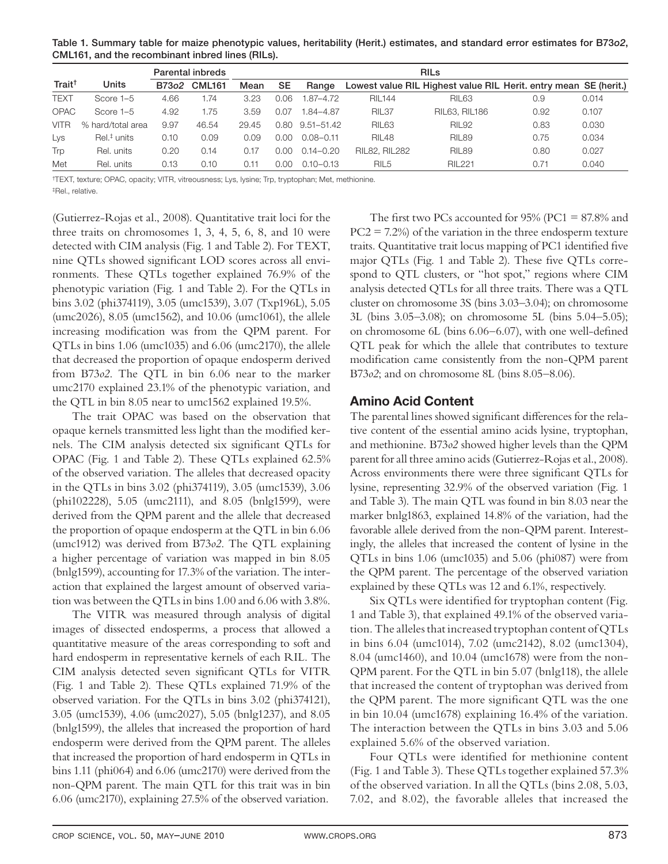**Table 1. Summary table for maize phenotypic values, heritability (Herit.) estimates, and standard error estimates for B73***o2***, CML161, and the recombinant inbred lines (RILs).**

|                    |                           |      | Parental inbreds | <b>RIL<sub>s</sub></b> |      |                       |                      |                                                                  |      |       |
|--------------------|---------------------------|------|------------------|------------------------|------|-----------------------|----------------------|------------------------------------------------------------------|------|-------|
| Trait <sup>†</sup> | Units                     |      | B73o2 CML161     | Mean                   | SE   | Range                 |                      | Lowest value RIL Highest value RIL Herit, entry mean SE (herit.) |      |       |
| <b>TEXT</b>        | Score 1-5                 | 4.66 | 1.74             | 3.23                   | 0.06 | 1.87–4.72             | RIL144               | <b>RIL63</b>                                                     | 0.9  | 0.014 |
| <b>OPAC</b>        | Score 1-5                 | 4.92 | 1.75             | 3.59                   | 0.07 | 1.84-4.87             | <b>RIL37</b>         | <b>RIL63, RIL186</b>                                             | 0.92 | 0.107 |
| <b>VITR</b>        | % hard/total area         | 9.97 | 46.54            | 29.45                  |      | $0.80$ $9.51 - 51.42$ | <b>RIL63</b>         | <b>RIL92</b>                                                     | 0.83 | 0.030 |
| Lys                | $Rel.$ <sup>#</sup> units | 0.10 | 0.09             | 0.09                   | 0.00 | $0.08 - 0.11$         | <b>RIL48</b>         | <b>RIL89</b>                                                     | 0.75 | 0.034 |
| Trp                | Rel. units                | 0.20 | 0.14             | 0.17                   | 0.00 | $0.14 - 0.20$         | <b>RIL82, RIL282</b> | <b>RIL89</b>                                                     | 0.80 | 0.027 |
| Met                | Rel. units                | 0.13 | 0.10             | 0.11                   | 0.00 | $0.10 - 0.13$         | RIL <sub>5</sub>     | <b>RIL221</b>                                                    | 0.71 | 0.040 |

†TEXT, texture; OPAC, opacity; VITR, vitreousness; Lys, lysine; Trp, tryptophan; Met, methionine.

‡Rel., relative.

(Gutierrez-Rojas et al., 2008). Quantitative trait loci for the three traits on chromosomes 1, 3, 4, 5, 6, 8, and 10 were detected with CIM analysis (Fig. 1 and Table 2). For TEXT, nine QTLs showed significant LOD scores across all environments. These QTLs together explained 76.9% of the phenotypic variation (Fig. 1 and Table 2). For the QTLs in bins 3.02 (phi374119), 3.05 (umc1539), 3.07 (Txp196L), 5.05 (umc2026), 8.05 (umc1562), and 10.06 (umc1061), the allele increasing modification was from the QPM parent. For QTLs in bins 1.06 (umc1035) and 6.06 (umc2170), the allele that decreased the proportion of opaque endosperm derived from B73*o2*. The QTL in bin 6.06 near to the marker umc2170 explained 23.1% of the phenotypic variation, and the QTL in bin 8.05 near to umc1562 explained 19.5%.

The trait OPAC was based on the observation that opaque kernels transmitted less light than the modified kernels. The CIM analysis detected six significant QTLs for OPAC (Fig. 1 and Table 2). These QTLs explained 62.5% of the observed variation. The alleles that decreased opacity in the QTLs in bins 3.02 (phi374119), 3.05 (umc1539), 3.06 (phi102228), 5.05 (umc2111), and 8.05 (bnlg1599), were derived from the QPM parent and the allele that decreased the proportion of opaque endosperm at the QTL in bin 6.06 (umc1912) was derived from B73*o2*. The QTL explaining a higher percentage of variation was mapped in bin 8.05 (bnlg1599), accounting for 17.3% of the variation. The interaction that explained the largest amount of observed variation was between the QTLs in bins 1.00 and 6.06 with 3.8%.

The VITR was measured through analysis of digital images of dissected endosperms, a process that allowed a quantitative measure of the areas corresponding to soft and hard endosperm in representative kernels of each RIL. The CIM analysis detected seven significant QTLs for VITR (Fig. 1 and Table 2). These QTLs explained 71.9% of the observed variation. For the QTLs in bins 3.02 (phi374121), 3.05 (umc1539), 4.06 (umc2027), 5.05 (bnlg1237), and 8.05 (bnlg1599), the alleles that increased the proportion of hard endosperm were derived from the QPM parent. The alleles that increased the proportion of hard endosperm in QTLs in bins 1.11 (phi064) and 6.06 (umc2170) were derived from the non-QPM parent. The main QTL for this trait was in bin 6.06 (umc2170), explaining 27.5% of the observed variation.

The first two PCs accounted for 95% (PC1 =  $87.8\%$  and  $PC2 = 7.2\%$  of the variation in the three endosperm texture traits. Quantitative trait locus mapping of PC1 identified five major QTLs (Fig. 1 and Table 2). These five QTLs correspond to QTL clusters, or "hot spot," regions where CIM analysis detected QTLs for all three traits. There was a QTL cluster on chromosome 3S (bins 3.03–3.04); on chromosome 3L (bins 3.05–3.08); on chromosome 5L (bins 5.04–5.05); on chromosome  $6L$  (bins  $6.06-6.07$ ), with one well-defined QTL peak for which the allele that contributes to texture modification came consistently from the non-QPM parent B73*o2*; and on chromosome 8L (bins 8.05–8.06).

## **Amino Acid Content**

The parental lines showed significant differences for the relative content of the essential amino acids lysine, tryptophan, and methionine. B73*o2* showed higher levels than the QPM parent for all three amino acids (Gutierrez-Rojas et al., 2008). Across environments there were three significant QTLs for lysine, representing 32.9% of the observed variation (Fig. 1 and Table 3). The main QTL was found in bin 8.03 near the marker bnlg1863, explained 14.8% of the variation, had the favorable allele derived from the non-QPM parent. Interestingly, the alleles that increased the content of lysine in the QTLs in bins 1.06 (umc1035) and 5.06 (phi087) were from the QPM parent. The percentage of the observed variation explained by these QTLs was 12 and 6.1%, respectively.

Six QTLs were identified for tryptophan content (Fig. 1 and Table 3), that explained 49.1% of the observed variation. The alleles that increased tryptophan content of QTLs in bins 6.04 (umc1014), 7.02 (umc2142), 8.02 (umc1304), 8.04 (umc1460), and 10.04 (umc1678) were from the non-QPM parent. For the QTL in bin 5.07 (bnlg118), the allele that increased the content of tryptophan was derived from the QPM parent. The more significant QTL was the one in bin 10.04 (umc1678) explaining 16.4% of the variation. The interaction between the QTLs in bins 3.03 and 5.06 explained 5.6% of the observed variation.

Four QTLs were identified for methionine content (Fig. 1 and Table 3). These QTLs together explained 57.3% of the observed variation. In all the QTLs (bins 2.08, 5.03, 7.02, and 8.02), the favorable alleles that increased the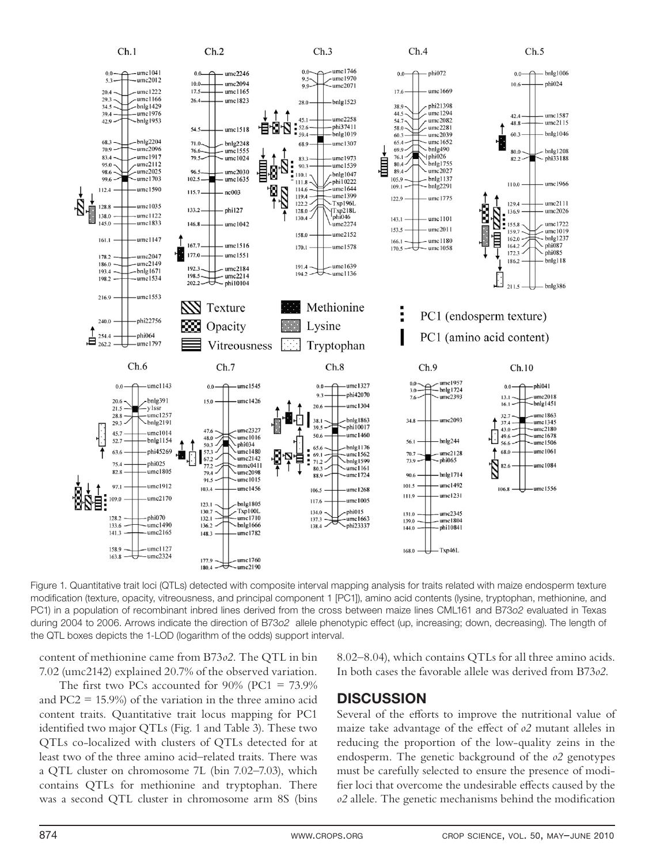

Figure 1. Quantitative trait loci (QTLs) detected with composite interval mapping analysis for traits related with maize endosperm texture modification (texture, opacity, vitreousness, and principal component 1 [PC1]), amino acid contents (lysine, tryptophan, methionine, and PC1) in a population of recombinant inbred lines derived from the cross between maize lines CML161 and B73o2 evaluated in Texas during 2004 to 2006. Arrows indicate the direction of B73o2 allele phenotypic effect (up, increasing; down, decreasing). The length of the QTL boxes depicts the 1-LOD (logarithm of the odds) support interval.

content of methionine came from B73*o2*. The QTL in bin 7.02 (umc2142) explained 20.7% of the observed variation.

The first two PCs accounted for  $90\%$  (PC1 =  $73.9\%$ ) and  $PC2 = 15.9\%$  of the variation in the three amino acid content traits. Quantitative trait locus mapping for PC1 identified two major QTLs (Fig. 1 and Table 3). These two QTLs co-localized with clusters of QTLs detected for at least two of the three amino acid–related traits. There was a QTL cluster on chromosome 7L (bin 7.02–7.03), which contains QTLs for methionine and tryptophan. There was a second QTL cluster in chromosome arm 8S (bins 8.02–8.04), which contains QTLs for all three amino acids. In both cases the favorable allele was derived from B73*o2*.

## **DISCUSSION**

Several of the efforts to improve the nutritional value of maize take advantage of the effect of  $\rho$ 2 mutant alleles in reducing the proportion of the low-quality zeins in the endosperm. The genetic background of the *o2* genotypes must be carefully selected to ensure the presence of modifier loci that overcome the undesirable effects caused by the *o2* allele. The genetic mechanisms behind the modification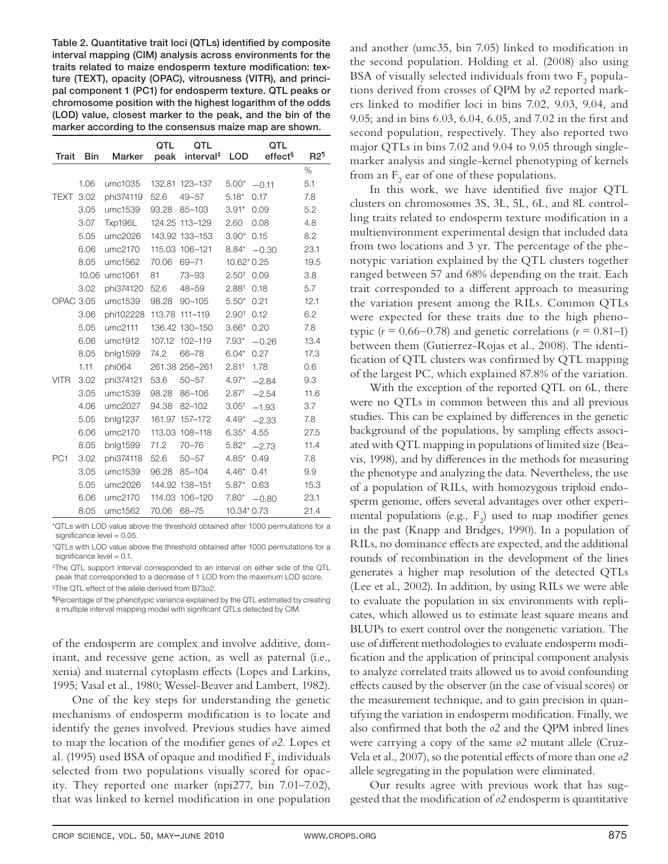Table 2. Quantitative trait loci (QTLs) identified by composite **interval mapping (CIM) analysis across environments for the**  traits related to maize endosperm texture modification: tex**ture (TEXT), opacity (OPAC), vitrousness (VITR), and principal component 1 (PC1) for endosperm texture. QTL peaks or chromosome position with the highest logarithm of the odds (LOD) value, closest marker to the peak, and the bin of the marker according to the consensus maize map are shown.**

| Trait            | <b>Bin</b> | <b>Marker</b> | QTL<br>peak | QTL<br>interval <sup>#</sup> | <b>LOD</b>            | QTL<br>effect <sup>§</sup> | R2 <sup>1</sup> |
|------------------|------------|---------------|-------------|------------------------------|-----------------------|----------------------------|-----------------|
|                  |            |               |             |                              |                       |                            | %               |
|                  | 1.06       | umc1035       |             | 132.81 123-137               | $5.00*$               | $-0.11$                    | 5.1             |
| <b>TEXT</b>      | 3.02       | phi374119     | 52.6        | $49 - 57$                    | $5.18*$               | 0.17                       | 7.8             |
|                  | 3.05       | umc1539       | 93.28       | $85 - 103$                   | $3.91*$               | 0.09                       | 5.2             |
|                  | 3.07       | Txp196L       | 124.25      | 113-129                      | 2.60                  | 0.08                       | 4.8             |
|                  | 5.05       | umc2026       |             | 143.92 133-153               | $3.90*$               | 0.15                       | 8.2             |
|                  | 6.06       | umc2170       |             | 115.03 106-121               | $8.84*$               | $-0.30$                    | 23.1            |
|                  | 8.05       | umc1562       | 70.06       | $69 - 71$                    | 10.62* 0.25           |                            | 19.5            |
|                  | 10.06      | umc1061       | 81          | $73 - 93$                    | $2.50^{\dagger}$ 0.09 |                            | 3.8             |
|                  | 3.02       | phi374120     | 52.6        | $48 - 59$                    | 2.88 <sup>†</sup>     | 0.18                       | 5.7             |
| <b>OPAC 3.05</b> |            | umc1539       | 98.28       | $90 - 105$                   | $5.50*$               | 0.21                       | 12.1            |
|                  | 3.06       | phi102228     | 113.78      | $111 - 119$                  | 2.90 <sup>†</sup>     | 0.12                       | 6.2             |
|                  | 5.05       | umc2111       |             | 136.42 130-150               | $3.66*$               | 0.20                       | 7.8             |
|                  | 6.06       | umc1912       | 107.12      | 102-119                      | $7.93*$               | $-0.26$                    | 13.4            |
|                  | 8.05       | bnlg1599      | 74.2        | $66 - 78$                    | $6.04*$               | 0.27                       | 17.3            |
|                  | 1.11       | phi064        |             | 261.38 256-261               | 2.81 <sup>†</sup>     | 1.78                       | 0.6             |
| <b>VITR</b>      | 3.02       | phi374121     | 53.6        | $50 - 57$                    | $4.97*$               | $-2.84$                    | 9.3             |
|                  | 3.05       | umc1539       | 98.28       | 86-106                       | 2.87 <sup>†</sup>     | $-2.54$                    | 11.6            |
|                  | 4.06       | umc2027       | 94.38       | $82 - 102$                   | 3.05 <sup>†</sup>     | $-1.93$                    | 3.7             |
|                  | 5.05       | bnlg1237      | 161.97      | 157-172                      | $4.49*$               | $-2.33$                    | 7.8             |
|                  | 6.06       | umc2170       | 113.03      | 108-118                      | $6.35*$               | 4.55                       | 27.5            |
|                  | 8.05       | bnlg1599      | 71.2        | $70 - 76$                    | $5.82*$               | $-2.73$                    | 11.4            |
| PC <sub>1</sub>  | 3.02       | phi374118     | 52.6        | $50 - 57$                    | $4.85*$               | 0.49                       | 7.8             |
|                  | 3.05       | umc1539       | 96.28       | 85-104                       | $4.46*$               | 0.41                       | 9.9             |
|                  | 5.05       | umc2026       |             | 144.92 138-151               | $5.87*$               | 0.63                       | 15.3            |
|                  | 6.06       | umc2170       | 114.03      | 106-120                      | $7.80*$               | $-0.80$                    | 23.1            |
|                  | 8.05       | umc1562       | 70.06       | $68 - 75$                    | 10.34* 0.73           |                            | 21.4            |

\*QTLs with LOD value above the threshold obtained after 1000 permutations for a significance level  $= 0.05$ .

†QTLs with LOD value above the threshold obtained after 1000 permutations for a significance level  $= 0.1$ .

‡The QTL support interval corresponded to an interval on either side of the QTL peak that corresponded to a decrease of 1 LOD from the maximum LOD score. §The QTL effect of the allele derived from B73o2.

¶Percentage of the phenotypic variance explained by the QTL estimated by creating a multiple interval mapping model with significant QTLs detected by CIM.

of the endosperm are complex and involve additive, dominant, and recessive gene action, as well as paternal (i.e., xenia) and maternal cytoplasm effects (Lopes and Larkins, 1995; Vasal et al., 1980; Wessel-Beaver and Lambert, 1982).

One of the key steps for understanding the genetic mechanisms of endosperm modification is to locate and identify the genes involved. Previous studies have aimed to map the location of the modifier genes of  $o2$ . Lopes et al. (1995) used BSA of opaque and modified  $\mathrm{F}_2$  individuals selected from two populations visually scored for opacity. They reported one marker (npi277, bin 7.01–7.02), that was linked to kernel modification in one population

and another (umc35, bin  $7.05$ ) linked to modification in the second population. Holding et al. (2008) also using BSA of visually selected individuals from two  $\mathrm{F}_2$  populations derived from crosses of QPM by *o2* reported markers linked to modifier loci in bins 7.02, 9.03, 9.04, and 9.05; and in bins 6.03, 6.04, 6.05, and 7.02 in the first and second population, respectively. They also reported two major QTLs in bins 7.02 and 9.04 to 9.05 through singlemarker analysis and single-kernel phenotyping of kernels from an  $F_2$  ear of one of these populations.

In this work, we have identified five major QTL clusters on chromosomes 3S, 3L, 5L, 6L, and 8L controlling traits related to endosperm texture modification in a multienvironment experimental design that included data from two locations and 3 yr. The percentage of the phenotypic variation explained by the QTL clusters together ranged between 57 and 68% depending on the trait. Each trait corresponded to a different approach to measuring the variation present among the RILs. Common QTLs were expected for these traits due to the high phenotypic ( $r = 0.66 - 0.78$ ) and genetic correlations ( $r = 0.81 - 1$ ) between them (Gutierrez-Rojas et al., 2008). The identification of QTL clusters was confirmed by QTL mapping of the largest PC, which explained 87.8% of the variation.

With the exception of the reported QTL on 6L, there were no QTLs in common between this and all previous studies. This can be explained by differences in the genetic background of the populations, by sampling effects associated with QTL mapping in populations of limited size (Beavis, 1998), and by differences in the methods for measuring the phenotype and analyzing the data. Nevertheless, the use of a population of RILs, with homozygous triploid endosperm genome, offers several advantages over other experimental populations (e.g.,  $F_2$ ) used to map modifier genes in the past (Knapp and Bridges, 1990). In a population of RILs, no dominance effects are expected, and the additional rounds of recombination in the development of the lines generates a higher map resolution of the detected QTLs (Lee et al., 2002). In addition, by using RILs we were able to evaluate the population in six environments with replicates, which allowed us to estimate least square means and BLUPs to exert control over the nongenetic variation. The use of different methodologies to evaluate endosperm modification and the application of principal component analysis to analyze correlated traits allowed us to avoid confounding effects caused by the observer (in the case of visual scores) or the measurement technique, and to gain precision in quantifying the variation in endosperm modification. Finally, we also confirmed that both the  $o2$  and the QPM inbred lines were carrying a copy of the same *o2* mutant allele (Cruz-Vela et al., 2007), so the potential effects of more than one  $o2$ allele segregating in the population were eliminated.

Our results agree with previous work that has suggested that the modification of  $o2$  endosperm is quantitative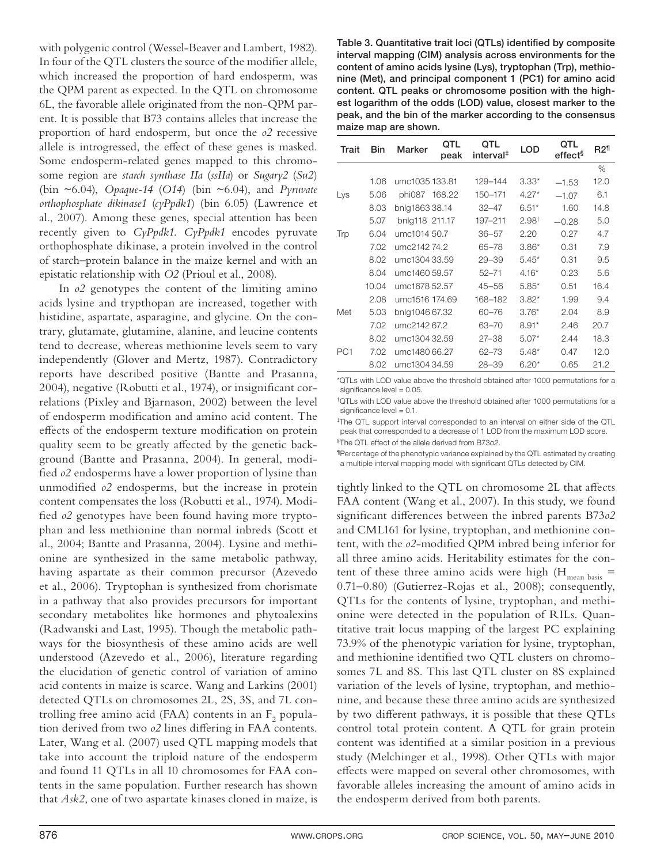with polygenic control (Wessel-Beaver and Lambert, 1982). In four of the QTL clusters the source of the modifier allele, which increased the proportion of hard endosperm, was the QPM parent as expected. In the QTL on chromosome 6L, the favorable allele originated from the non-QPM parent. It is possible that B73 contains alleles that increase the proportion of hard endosperm, but once the *o2* recessive allele is introgressed, the effect of these genes is masked. Some endosperm-related genes mapped to this chromosome region are *starch synthase IIa* (*ssIIa*) or *Sugary2* (*Su2*) (bin ~6.04), *Opaque-14* (*O14*) (bin ~6.04), and *Pyruvate orthophosphate dikinase1* (*cyPpdk1*) (bin 6.05) (Lawrence et al., 2007). Among these genes, special attention has been recently given to *CyPpdk1. CyPpdk1* encodes pyruvate orthophosphate dikinase, a protein involved in the control of starch–protein balance in the maize kernel and with an epistatic relationship with *O2* (Prioul et al., 2008).

In  $\delta$ 2 genotypes the content of the limiting amino acids lysine and trypthopan are increased, together with histidine, aspartate, asparagine, and glycine. On the contrary, glutamate, glutamine, alanine, and leucine contents tend to decrease, whereas methionine levels seem to vary independently (Glover and Mertz, 1987). Contradictory reports have described positive (Bantte and Prasanna, 2004), negative (Robutti et al., 1974), or insignificant correlations (Pixley and Bjarnason, 2002) between the level of endosperm modification and amino acid content. The effects of the endosperm texture modification on protein quality seem to be greatly affected by the genetic background (Bantte and Prasanna, 2004). In general, modified  $o2$  endosperms have a lower proportion of lysine than unmodified  $o2$  endosperms, but the increase in protein content compensates the loss (Robutti et al., 1974). Modified *o2* genotypes have been found having more tryptophan and less methionine than normal inbreds (Scott et al., 2004; Bantte and Prasanna, 2004). Lysine and methionine are synthesized in the same metabolic pathway, having aspartate as their common precursor (Azevedo et al., 2006). Tryptophan is synthesized from chorismate in a pathway that also provides precursors for important secondary metabolites like hormones and phytoalexins (Radwanski and Last, 1995). Though the metabolic pathways for the biosynthesis of these amino acids are well understood (Azevedo et al., 2006), literature regarding the elucidation of genetic control of variation of amino acid contents in maize is scarce. Wang and Larkins (2001) detected QTLs on chromosomes 2L, 2S, 3S, and 7L controlling free amino acid (FAA) contents in an  $\mathrm{F}_2$  population derived from two  $o2$  lines differing in FAA contents. Later, Wang et al. (2007) used QTL mapping models that take into account the triploid nature of the endosperm and found 11 QTLs in all 10 chromosomes for FAA contents in the same population. Further research has shown that *Ask2*, one of two aspartate kinases cloned in maize, is

Table 3. Quantitative trait loci (QTLs) identified by composite **interval mapping (CIM) analysis across environments for the content of amino acids lysine (Lys), tryptophan (Trp), methionine (Met), and principal component 1 (PC1) for amino acid content. QTL peaks or chromosome position with the highest logarithm of the odds (LOD) value, closest marker to the peak, and the bin of the marker according to the consensus maize map are shown.**

| Trait           | <b>Bin</b> | Marker         | OTL<br>peak | QTL<br>interval <sup>‡</sup> | <b>LOD</b>        | QTL<br>effect <sup>§</sup> | R2 <sup>1</sup> |
|-----------------|------------|----------------|-------------|------------------------------|-------------------|----------------------------|-----------------|
|                 |            |                |             |                              |                   |                            | $\%$            |
|                 | 1.06       | umc1035 133.81 |             | 129-144                      | $3.33*$           | $-1.53$                    | 12.0            |
| Lys             | 5.06       | phi087 168.22  |             | 150-171                      | $4.27*$           | $-1.07$                    | 6.1             |
|                 | 8.03       | bnlg186338.14  |             | $32 - 47$                    | $6.51*$           | 1.60                       | 14.8            |
|                 | 5.07       | bnlg118 211.17 |             | 197-211                      | 2.98 <sup>†</sup> | $-0.28$                    | 5.0             |
| Trp             | 6.04       | umc1014 50.7   |             | $36 - 57$                    | 2.20              | 0.27                       | 4.7             |
|                 | 7.02       | umc214274.2    |             | $65 - 78$                    | $3.86*$           | 0.31                       | 7.9             |
|                 | 8.02       | umc1304 33.59  |             | $29 - 39$                    | $5.45*$           | 0.31                       | 9.5             |
|                 | 8.04       | umc1460 59.57  |             | $52 - 71$                    | $4.16*$           | 0.23                       | 5.6             |
|                 | 10.04      | umc1678 52.57  |             | $45 - 56$                    | $5.85*$           | 0.51                       | 16.4            |
|                 | 2.08       | umc1516 174.69 |             | 168-182                      | $3.82*$           | 1.99                       | 9.4             |
| Met             | 5.03       | bnlg1046 67.32 |             | $60 - 76$                    | $3.76*$           | 2.04                       | 8.9             |
|                 | 7.02       | umc2142 67.2   |             | 63-70                        | $8.91*$           | 2.46                       | 20.7            |
|                 | 8.02       | umc1304 32.59  |             | $27 - 38$                    | $5.07*$           | 2.44                       | 18.3            |
| PC <sub>1</sub> | 7.02       | umc1480 66.27  |             | $62 - 73$                    | $5.48*$           | 0.47                       | 12.0            |
|                 | 8.02       | umc1304 34.59  |             | $28 - 39$                    | $6.20*$           | 0.65                       | 21.2            |

\*QTLs with LOD value above the threshold obtained after 1000 permutations for a significance level  $= 0.05$ .

†QTLs with LOD value above the threshold obtained after 1000 permutations for a significance level  $= 0.1$ .

‡The QTL support interval corresponded to an interval on either side of the QTL peak that corresponded to a decrease of 1 LOD from the maximum LOD score. §The QTL effect of the allele derived from B73o2.

¶Percentage of the phenotypic variance explained by the QTL estimated by creating a multiple interval mapping model with significant QTLs detected by CIM.

tightly linked to the QTL on chromosome 2L that affects FAA content (Wang et al., 2007). In this study, we found significant differences between the inbred parents B73*o2* and CML161 for lysine, tryptophan, and methionine content, with the *o2*-modified QPM inbred being inferior for all three amino acids. Heritability estimates for the content of these three amino acids were high  $(H<sub>mean basis</sub>$ 0.71–0.80) (Gutierrez-Rojas et al., 2008); consequently, QTLs for the contents of lysine, tryptophan, and methionine were detected in the population of RILs. Quantitative trait locus mapping of the largest PC explaining 73.9% of the phenotypic variation for lysine, tryptophan, and methionine identified two QTL clusters on chromosomes 7L and 8S. This last QTL cluster on 8S explained variation of the levels of lysine, tryptophan, and methionine, and because these three amino acids are synthesized by two different pathways, it is possible that these QTLs control total protein content. A QTL for grain protein content was identified at a similar position in a previous study (Melchinger et al., 1998). Other QTLs with major effects were mapped on several other chromosomes, with favorable alleles increasing the amount of amino acids in the endosperm derived from both parents.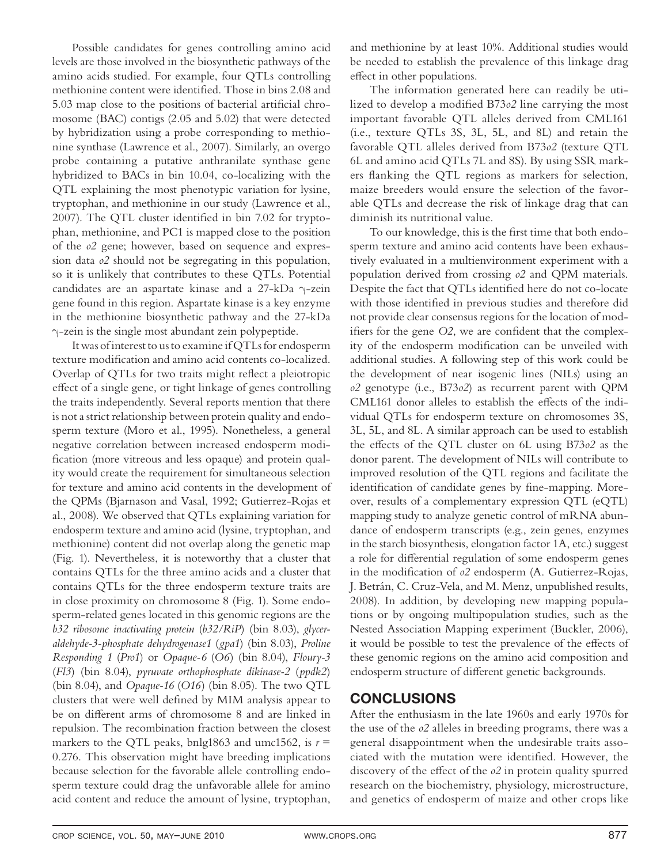Possible candidates for genes controlling amino acid levels are those involved in the biosynthetic pathways of the amino acids studied. For example, four QTLs controlling methionine content were identified. Those in bins 2.08 and 5.03 map close to the positions of bacterial artificial chromosome (BAC) contigs (2.05 and 5.02) that were detected by hybridization using a probe corresponding to methionine synthase (Lawrence et al., 2007). Similarly, an overgo probe containing a putative anthranilate synthase gene hybridized to BACs in bin 10.04, co-localizing with the QTL explaining the most phenotypic variation for lysine, tryptophan, and methionine in our study (Lawrence et al., 2007). The QTL cluster identified in bin  $7.02$  for tryptophan, methionine, and PC1 is mapped close to the position of the *o2* gene; however, based on sequence and expression data *o2* should not be segregating in this population, so it is unlikely that contributes to these QTLs. Potential candidates are an aspartate kinase and a 27-kDa γ-zein gene found in this region. Aspartate kinase is a key enzyme in the methionine biosynthetic pathway and the 27-kDa γ-zein is the single most abundant zein polypeptide.

It was of interest to us to examine if QTLs for endosperm texture modification and amino acid contents co-localized. Overlap of QTLs for two traits might reflect a pleiotropic effect of a single gene, or tight linkage of genes controlling the traits independently. Several reports mention that there is not a strict relationship between protein quality and endosperm texture (Moro et al., 1995). Nonetheless, a general negative correlation between increased endosperm modification (more vitreous and less opaque) and protein quality would create the requirement for simultaneous selection for texture and amino acid contents in the development of the QPMs (Bjarnason and Vasal, 1992; Gutierrez-Rojas et al., 2008). We observed that QTLs explaining variation for endosperm texture and amino acid (lysine, tryptophan, and methionine) content did not overlap along the genetic map (Fig. 1). Nevertheless, it is noteworthy that a cluster that contains QTLs for the three amino acids and a cluster that contains QTLs for the three endosperm texture traits are in close proximity on chromosome 8 (Fig. 1). Some endosperm-related genes located in this genomic regions are the *b32 ribosome inactivating protein* (*b32/RiP*) (bin 8.03), *glyceraldehyde-3-phosphate dehydrogenase1* (*gpa1*) (bin 8.03), *Proline Responding 1* (*Pro1*) or *Opaque-6* (*O6*) (bin 8.04), *Floury-3* (*Fl3*) (bin 8.04), *pyruvate orthophosphate dikinase-2* (*ppdk2*) (bin 8.04), and *Opaque-16* (*O16*) (bin 8.05). The two QTL clusters that were well defined by MIM analysis appear to be on different arms of chromosome 8 and are linked in repulsion. The recombination fraction between the closest markers to the QTL peaks, bnlg1863 and umc1562, is  $r =$ 0.276. This observation might have breeding implications because selection for the favorable allele controlling endosperm texture could drag the unfavorable allele for amino acid content and reduce the amount of lysine, tryptophan,

and methionine by at least 10%. Additional studies would be needed to establish the prevalence of this linkage drag effect in other populations.

The information generated here can readily be utilized to develop a modified B73*o2* line carrying the most important favorable QTL alleles derived from CML161 (i.e., texture QTLs 3S, 3L, 5L, and 8L) and retain the favorable QTL alleles derived from B73*o2* (texture QTL 6L and amino acid QTLs 7L and 8S). By using SSR markers flanking the QTL regions as markers for selection, maize breeders would ensure the selection of the favorable QTLs and decrease the risk of linkage drag that can diminish its nutritional value.

To our knowledge, this is the first time that both endosperm texture and amino acid contents have been exhaustively evaluated in a multienvironment experiment with a population derived from crossing *o2* and QPM materials. Despite the fact that QTLs identified here do not co-locate with those identified in previous studies and therefore did not provide clear consensus regions for the location of modifiers for the gene O2, we are confident that the complexity of the endosperm modification can be unveiled with additional studies. A following step of this work could be the development of near isogenic lines (NILs) using an *o2* genotype (i.e., B73*o2*) as recurrent parent with QPM CML161 donor alleles to establish the effects of the individual QTLs for endosperm texture on chromosomes 3S, 3L, 5L, and 8L. A similar approach can be used to establish the effects of the QTL cluster on 6L using B73*o2* as the donor parent. The development of NILs will contribute to improved resolution of the QTL regions and facilitate the identification of candidate genes by fine-mapping. Moreover, results of a complementary expression QTL (eQTL) mapping study to analyze genetic control of mRNA abundance of endosperm transcripts (e.g., zein genes, enzymes in the starch biosynthesis, elongation factor 1A, etc.) suggest a role for differential regulation of some endosperm genes in the modification of  $o2$  endosperm (A. Gutierrez-Rojas, J. Betrán, C. Cruz-Vela, and M. Menz, unpublished results, 2008). In addition, by developing new mapping populations or by ongoing multipopulation studies, such as the Nested Association Mapping experiment (Buckler, 2006), it would be possible to test the prevalence of the effects of these genomic regions on the amino acid composition and endosperm structure of different genetic backgrounds.

## **CONCLUSIONS**

After the enthusiasm in the late 1960s and early 1970s for the use of the *o2* alleles in breeding programs, there was a general disappointment when the undesirable traits associated with the mutation were identified. However, the discovery of the effect of the  $\partial^2$  in protein quality spurred research on the biochemistry, physiology, microstructure, and genetics of endosperm of maize and other crops like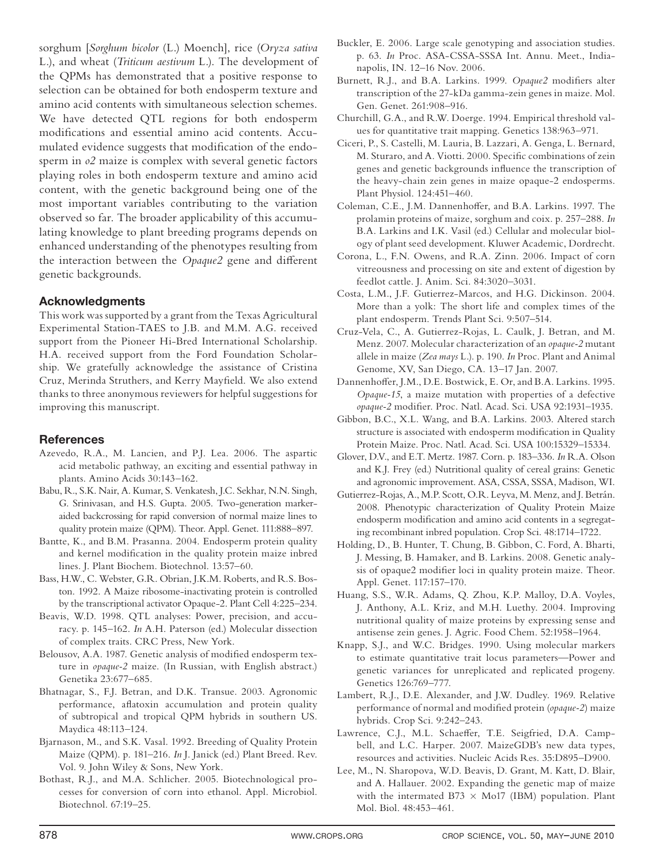sorghum [*Sorghum bicolor* (L.) Moench], rice (*Oryza sativa* L.), and wheat (*Triticum aestivum* L.). The development of the QPMs has demonstrated that a positive response to selection can be obtained for both endosperm texture and amino acid contents with simultaneous selection schemes. We have detected QTL regions for both endosperm modifications and essential amino acid contents. Accumulated evidence suggests that modification of the endosperm in *o2* maize is complex with several genetic factors playing roles in both endosperm texture and amino acid content, with the genetic background being one of the most important variables contributing to the variation observed so far. The broader applicability of this accumulating knowledge to plant breeding programs depends on enhanced understanding of the phenotypes resulting from the interaction between the *Opaque2* gene and different genetic backgrounds.

#### **Acknowledgments**

This work was supported by a grant from the Texas Agricultural Experimental Station-TAES to J.B. and M.M. A.G. received support from the Pioneer Hi-Bred International Scholarship. H.A. received support from the Ford Foundation Scholarship. We gratefully acknowledge the assistance of Cristina Cruz, Merinda Struthers, and Kerry Mayfield. We also extend thanks to three anonymous reviewers for helpful suggestions for improving this manuscript.

#### **References**

- Azevedo, R.A., M. Lancien, and P.J. Lea. 2006. The aspartic acid metabolic pathway, an exciting and essential pathway in plants. Amino Acids 30:143–162.
- Babu, R., S.K. Nair, A. Kumar, S. Venkatesh, J.C. Sekhar, N.N. Singh, G. Srinivasan, and H.S. Gupta. 2005. Two-generation markeraided backcrossing for rapid conversion of normal maize lines to quality protein maize (QPM). Theor. Appl. Genet. 111:888–897.
- Bantte, K., and B.M. Prasanna. 2004. Endosperm protein quality and kernel modification in the quality protein maize inbred lines. J. Plant Biochem. Biotechnol. 13:57–60.
- Bass, H.W., C. Webster, G.R. Obrian, J.K.M. Roberts, and R.S. Boston. 1992. A Maize ribosome-inactivating protein is controlled by the transcriptional activator Opaque-2. Plant Cell 4:225–234.
- Beavis, W.D. 1998. QTL analyses: Power, precision, and accuracy. p. 145–162. *In* A.H. Paterson (ed.) Molecular dissection of complex traits. CRC Press, New York.
- Belousov, A.A. 1987. Genetic analysis of modified endosperm texture in *opaque-2* maize. (In Russian, with English abstract.) Genetika 23:677–685.
- Bhatnagar, S., F.J. Betran, and D.K. Transue. 2003. Agronomic performance, aflatoxin accumulation and protein quality of subtropical and tropical QPM hybrids in southern US. Maydica 48:113–124.
- Bjarnason, M., and S.K. Vasal. 1992. Breeding of Quality Protein Maize (QPM). p. 181–216. *In* J. Janick (ed.) Plant Breed. Rev. Vol. 9. John Wiley & Sons, New York.
- Bothast, R.J., and M.A. Schlicher. 2005. Biotechnological processes for conversion of corn into ethanol. Appl. Microbiol. Biotechnol. 67:19–25.
- Buckler, E. 2006. Large scale genotyping and association studies. p. 63. *In* Proc. ASA-CSSA-SSSA Int. Annu. Meet., Indianapolis, IN. 12–16 Nov. 2006.
- Burnett, R.J., and B.A. Larkins. 1999. Opaque2 modifiers alter transcription of the 27-kDa gamma-zein genes in maize. Mol. Gen. Genet. 261:908–916.
- Churchill, G.A., and R.W. Doerge. 1994. Empirical threshold values for quantitative trait mapping. Genetics 138:963–971.
- Ciceri, P., S. Castelli, M. Lauria, B. Lazzari, A. Genga, L. Bernard, M. Sturaro, and A. Viotti. 2000. Specific combinations of zein genes and genetic backgrounds influence the transcription of the heavy-chain zein genes in maize opaque-2 endosperms. Plant Physiol. 124:451–460.
- Coleman, C.E., J.M. Dannenhoffer, and B.A. Larkins. 1997. The prolamin proteins of maize, sorghum and coix. p. 257–288. *In* B.A. Larkins and I.K. Vasil (ed.) Cellular and molecular biology of plant seed development. Kluwer Academic, Dordrecht.
- Corona, L., F.N. Owens, and R.A. Zinn. 2006. Impact of corn vitreousness and processing on site and extent of digestion by feedlot cattle. J. Anim. Sci. 84:3020–3031.
- Costa, L.M., J.F. Gutierrez-Marcos, and H.G. Dickinson. 2004. More than a yolk: The short life and complex times of the plant endosperm. Trends Plant Sci. 9:507–514.
- Cruz-Vela, C., A. Gutierrez-Rojas, L. Caulk, J. Betran, and M. Menz. 2007. Molecular characterization of an *opaque-2* mutant allele in maize (*Zea mays* L.). p. 190. *In* Proc. Plant and Animal Genome, XV, San Diego, CA. 13–17 Jan. 2007.
- Dannenhoffer, J.M., D.E. Bostwick, E. Or, and B.A. Larkins. 1995. *Opaque-15*, a maize mutation with properties of a defective *opaque-2* modifier. Proc. Natl. Acad. Sci. USA 92:1931-1935.
- Gibbon, B.C., X.L. Wang, and B.A. Larkins. 2003. Altered starch structure is associated with endosperm modification in Quality Protein Maize. Proc. Natl. Acad. Sci. USA 100:15329–15334.
- Glover, D.V., and E.T. Mertz. 1987. Corn. p. 183–336. *In* R.A. Olson and K.J. Frey (ed.) Nutritional quality of cereal grains: Genetic and agronomic improvement. ASA, CSSA, SSSA, Madison, WI.
- Gutierrez-Rojas, A., M.P. Scott, O.R. Leyva, M. Menz, and J. Betrán. 2008. Phenotypic characterization of Quality Protein Maize endosperm modification and amino acid contents in a segregating recombinant inbred population. Crop Sci. 48:1714–1722.
- Holding, D., B. Hunter, T. Chung, B. Gibbon, C. Ford, A. Bharti, J. Messing, B. Hamaker, and B. Larkins. 2008. Genetic analysis of opaque2 modifier loci in quality protein maize. Theor. Appl. Genet. 117:157–170.
- Huang, S.S., W.R. Adams, Q. Zhou, K.P. Malloy, D.A. Voyles, J. Anthony, A.L. Kriz, and M.H. Luethy. 2004. Improving nutritional quality of maize proteins by expressing sense and antisense zein genes. J. Agric. Food Chem. 52:1958–1964.
- Knapp, S.J., and W.C. Bridges. 1990. Using molecular markers to estimate quantitative trait locus parameters—Power and genetic variances for unreplicated and replicated progeny. Genetics 126:769–777.
- Lambert, R.J., D.E. Alexander, and J.W. Dudley. 1969. Relative performance of normal and modified protein (*opaque-2*) maize hybrids. Crop Sci. 9:242–243.
- Lawrence, C.J., M.L. Schaeffer, T.E. Seigfried, D.A. Campbell, and L.C. Harper. 2007. MaizeGDB's new data types, resources and activities. Nucleic Acids Res. 35:D895–D900.
- Lee, M., N. Sharopova, W.D. Beavis, D. Grant, M. Katt, D. Blair, and A. Hallauer. 2002. Expanding the genetic map of maize with the intermated B73  $\times$  Mo17 (IBM) population. Plant Mol. Biol. 48:453–461.